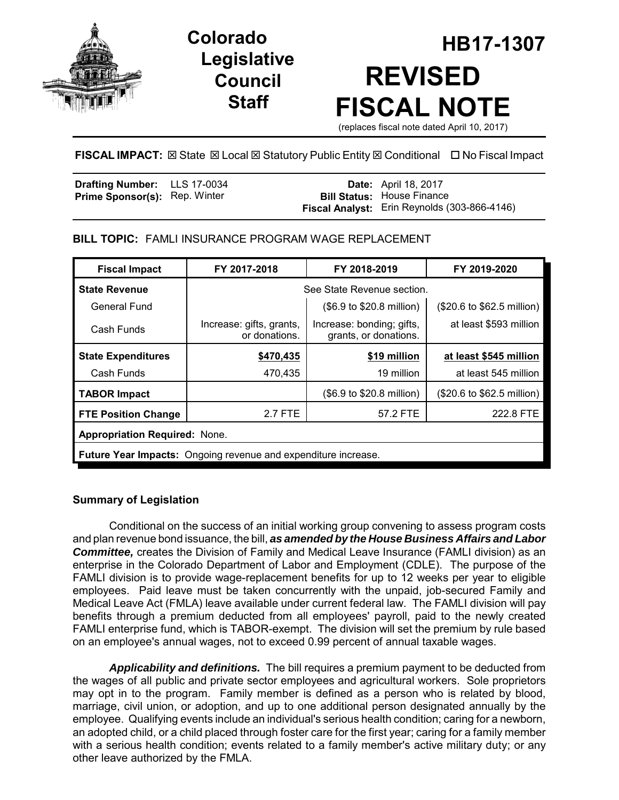

# **Legislative Council Staff**

# **HB17-1307 Colorado REVISED FISCAL NOTE**

(replaces fiscal note dated April 10, 2017)

# **FISCAL IMPACT:** ⊠ State ⊠ Local ⊠ Statutory Public Entity ⊠ Conditional □ No Fiscal Impact

| Drafting Number: LLS 17-0034         |  | <b>Date:</b> April 18, 2017                  |
|--------------------------------------|--|----------------------------------------------|
| <b>Prime Sponsor(s): Rep. Winter</b> |  | <b>Bill Status:</b> House Finance            |
|                                      |  | Fiscal Analyst: Erin Reynolds (303-866-4146) |

# **BILL TOPIC:** FAMLI INSURANCE PROGRAM WAGE REPLACEMENT

| <b>Fiscal Impact</b>                                                  | FY 2017-2018                              | FY 2018-2019                                       | FY 2019-2020               |  |  |
|-----------------------------------------------------------------------|-------------------------------------------|----------------------------------------------------|----------------------------|--|--|
| <b>State Revenue</b>                                                  | See State Revenue section.                |                                                    |                            |  |  |
| General Fund                                                          |                                           | (\$6.9 to \$20.8 million)                          | (\$20.6 to \$62.5 million) |  |  |
| Cash Funds                                                            | Increase: gifts, grants,<br>or donations. | Increase: bonding; gifts,<br>grants, or donations. | at least \$593 million     |  |  |
| <b>State Expenditures</b>                                             | \$470,435                                 | \$19 million                                       | at least \$545 million     |  |  |
| Cash Funds                                                            | 470,435                                   | 19 million                                         | at least 545 million       |  |  |
| <b>TABOR Impact</b>                                                   |                                           | (\$6.9 to \$20.8 million)                          | (\$20.6 to \$62.5 million) |  |  |
| <b>FTE Position Change</b>                                            | 2.7 FTE                                   | 57.2 FTE                                           | 222.8 FTE                  |  |  |
| <b>Appropriation Required: None.</b>                                  |                                           |                                                    |                            |  |  |
| <b>Future Year Impacts:</b> Ongoing revenue and expenditure increase. |                                           |                                                    |                            |  |  |

# **Summary of Legislation**

Conditional on the success of an initial working group convening to assess program costs and plan revenue bond issuance, the bill, *as amended by the House Business Affairs and Labor Committee,* creates the Division of Family and Medical Leave Insurance (FAMLI division) as an enterprise in the Colorado Department of Labor and Employment (CDLE). The purpose of the FAMLI division is to provide wage-replacement benefits for up to 12 weeks per year to eligible employees. Paid leave must be taken concurrently with the unpaid, job-secured Family and Medical Leave Act (FMLA) leave available under current federal law. The FAMLI division will pay benefits through a premium deducted from all employees' payroll, paid to the newly created FAMLI enterprise fund, which is TABOR-exempt. The division will set the premium by rule based on an employee's annual wages, not to exceed 0.99 percent of annual taxable wages.

*Applicability and definitions.* The bill requires a premium payment to be deducted from the wages of all public and private sector employees and agricultural workers. Sole proprietors may opt in to the program. Family member is defined as a person who is related by blood, marriage, civil union, or adoption, and up to one additional person designated annually by the employee. Qualifying events include an individual's serious health condition; caring for a newborn, an adopted child, or a child placed through foster care for the first year; caring for a family member with a serious health condition; events related to a family member's active military duty; or any other leave authorized by the FMLA.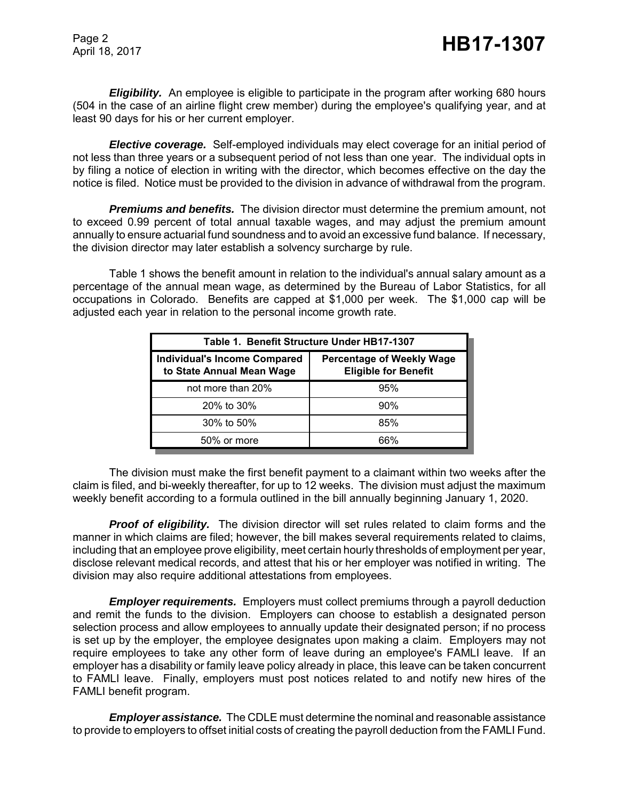*Eligibility.* An employee is eligible to participate in the program after working 680 hours (504 in the case of an airline flight crew member) during the employee's qualifying year, and at least 90 days for his or her current employer.

*Elective coverage.* Self-employed individuals may elect coverage for an initial period of not less than three years or a subsequent period of not less than one year. The individual opts in by filing a notice of election in writing with the director, which becomes effective on the day the notice is filed. Notice must be provided to the division in advance of withdrawal from the program.

*Premiums and benefits.* The division director must determine the premium amount, not to exceed 0.99 percent of total annual taxable wages, and may adjust the premium amount annually to ensure actuarial fund soundness and to avoid an excessive fund balance. If necessary, the division director may later establish a solvency surcharge by rule.

Table 1 shows the benefit amount in relation to the individual's annual salary amount as a percentage of the annual mean wage, as determined by the Bureau of Labor Statistics, for all occupations in Colorado. Benefits are capped at \$1,000 per week. The \$1,000 cap will be adjusted each year in relation to the personal income growth rate.

| Table 1. Benefit Structure Under HB17-1307                       |                                                                 |  |  |  |
|------------------------------------------------------------------|-----------------------------------------------------------------|--|--|--|
| <b>Individual's Income Compared</b><br>to State Annual Mean Wage | <b>Percentage of Weekly Wage</b><br><b>Eligible for Benefit</b> |  |  |  |
| not more than 20%                                                | 95%                                                             |  |  |  |
| 20% to 30%                                                       | 90%                                                             |  |  |  |
| 30% to 50%                                                       | 85%                                                             |  |  |  |
| 50% or more                                                      | ሐና%                                                             |  |  |  |

The division must make the first benefit payment to a claimant within two weeks after the claim is filed, and bi-weekly thereafter, for up to 12 weeks. The division must adjust the maximum weekly benefit according to a formula outlined in the bill annually beginning January 1, 2020.

**Proof of eligibility.** The division director will set rules related to claim forms and the manner in which claims are filed; however, the bill makes several requirements related to claims, including that an employee prove eligibility, meet certain hourly thresholds of employment per year, disclose relevant medical records, and attest that his or her employer was notified in writing. The division may also require additional attestations from employees.

*Employer requirements.* Employers must collect premiums through a payroll deduction and remit the funds to the division. Employers can choose to establish a designated person selection process and allow employees to annually update their designated person; if no process is set up by the employer, the employee designates upon making a claim. Employers may not require employees to take any other form of leave during an employee's FAMLI leave. If an employer has a disability or family leave policy already in place, this leave can be taken concurrent to FAMLI leave. Finally, employers must post notices related to and notify new hires of the FAMLI benefit program.

*Employer assistance.* The CDLE must determine the nominal and reasonable assistance to provide to employers to offset initial costs of creating the payroll deduction from the FAMLI Fund.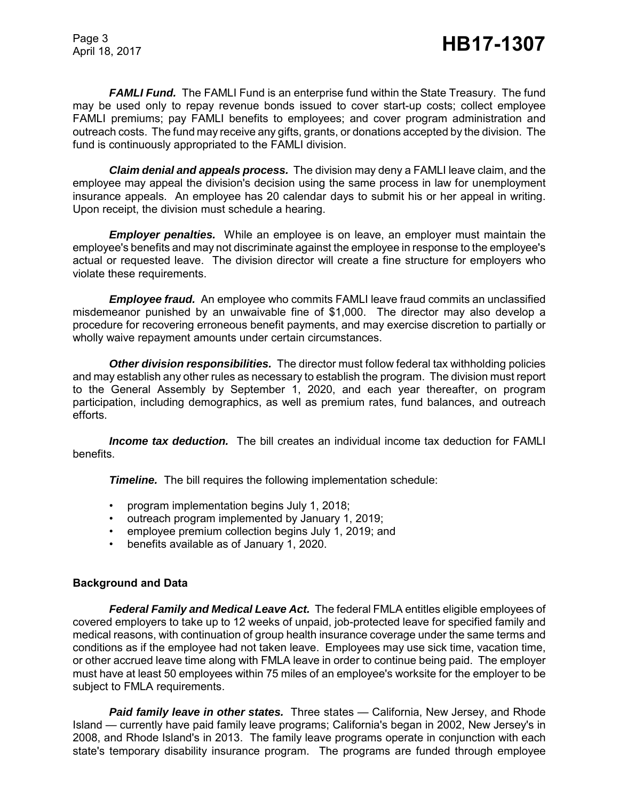*FAMLI Fund.* The FAMLI Fund is an enterprise fund within the State Treasury. The fund may be used only to repay revenue bonds issued to cover start-up costs; collect employee FAMLI premiums; pay FAMLI benefits to employees; and cover program administration and outreach costs. The fund may receive any gifts, grants, or donations accepted by the division. The fund is continuously appropriated to the FAMLI division.

*Claim denial and appeals process.* The division may deny a FAMLI leave claim, and the employee may appeal the division's decision using the same process in law for unemployment insurance appeals. An employee has 20 calendar days to submit his or her appeal in writing. Upon receipt, the division must schedule a hearing.

*Employer penalties.* While an employee is on leave, an employer must maintain the employee's benefits and may not discriminate against the employee in response to the employee's actual or requested leave. The division director will create a fine structure for employers who violate these requirements.

*Employee fraud.* An employee who commits FAMLI leave fraud commits an unclassified misdemeanor punished by an unwaivable fine of \$1,000. The director may also develop a procedure for recovering erroneous benefit payments, and may exercise discretion to partially or wholly waive repayment amounts under certain circumstances.

*Other division responsibilities.* The director must follow federal tax withholding policies and may establish any other rules as necessary to establish the program. The division must report to the General Assembly by September 1, 2020, and each year thereafter, on program participation, including demographics, as well as premium rates, fund balances, and outreach efforts.

**Income tax deduction.** The bill creates an individual income tax deduction for FAMLI benefits.

**Timeline.** The bill requires the following implementation schedule:

- program implementation begins July 1, 2018;
- outreach program implemented by January 1, 2019;
- employee premium collection begins July 1, 2019; and
- benefits available as of January 1, 2020.

# **Background and Data**

*Federal Family and Medical Leave Act.* The federal FMLA entitles eligible employees of covered employers to take up to 12 weeks of unpaid, job-protected leave for specified family and medical reasons, with continuation of group health insurance coverage under the same terms and conditions as if the employee had not taken leave. Employees may use sick time, vacation time, or other accrued leave time along with FMLA leave in order to continue being paid. The employer must have at least 50 employees within 75 miles of an employee's worksite for the employer to be subject to FMLA requirements.

*Paid family leave in other states.* Three states — California, New Jersey, and Rhode Island — currently have paid family leave programs; California's began in 2002, New Jersey's in 2008, and Rhode Island's in 2013. The family leave programs operate in conjunction with each state's temporary disability insurance program. The programs are funded through employee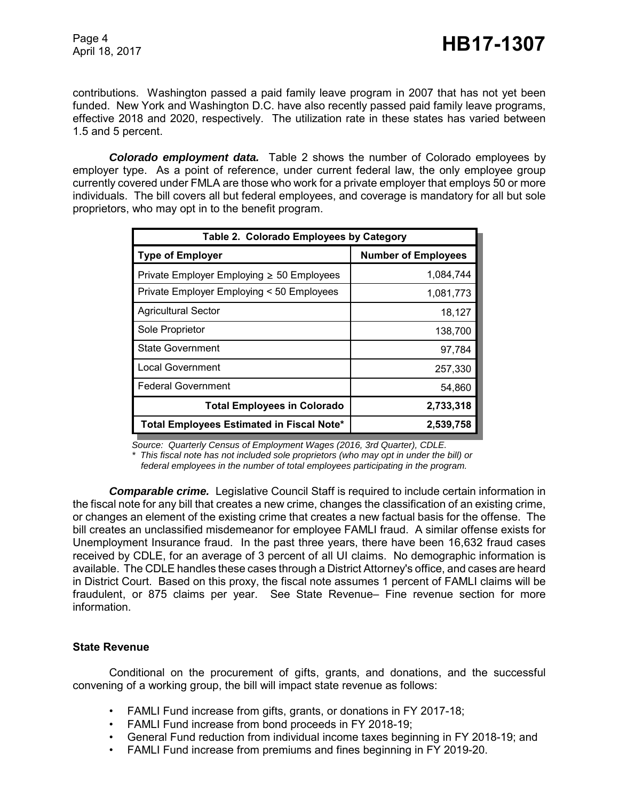contributions. Washington passed a paid family leave program in 2007 that has not yet been funded. New York and Washington D.C. have also recently passed paid family leave programs, effective 2018 and 2020, respectively. The utilization rate in these states has varied between 1.5 and 5 percent.

*Colorado employment data.* Table 2 shows the number of Colorado employees by employer type. As a point of reference, under current federal law, the only employee group currently covered under FMLA are those who work for a private employer that employs 50 or more individuals. The bill covers all but federal employees, and coverage is mandatory for all but sole proprietors, who may opt in to the benefit program.

| Table 2. Colorado Employees by Category        |                            |  |  |  |
|------------------------------------------------|----------------------------|--|--|--|
| <b>Type of Employer</b>                        | <b>Number of Employees</b> |  |  |  |
| Private Employer Employing $\geq 50$ Employees | 1,084,744                  |  |  |  |
| Private Employer Employing < 50 Employees      | 1,081,773                  |  |  |  |
| <b>Agricultural Sector</b>                     | 18,127                     |  |  |  |
| Sole Proprietor                                | 138,700                    |  |  |  |
| <b>State Government</b>                        | 97,784                     |  |  |  |
| <b>Local Government</b>                        | 257,330                    |  |  |  |
| <b>Federal Government</b>                      | 54,860                     |  |  |  |
| <b>Total Employees in Colorado</b>             | 2,733,318                  |  |  |  |
| Total Employees Estimated in Fiscal Note*      | 2,539,758                  |  |  |  |

*Source: Quarterly Census of Employment Wages (2016, 3rd Quarter), CDLE.*

*\* This fiscal note has not included sole proprietors (who may opt in under the bill) or*

 *federal employees in the number of total employees participating in the program.*

*Comparable crime.*Legislative Council Staff is required to include certain information in the fiscal note for any bill that creates a new crime, changes the classification of an existing crime, or changes an element of the existing crime that creates a new factual basis for the offense. The bill creates an unclassified misdemeanor for employee FAMLI fraud. A similar offense exists for Unemployment Insurance fraud. In the past three years, there have been 16,632 fraud cases received by CDLE, for an average of 3 percent of all UI claims. No demographic information is available. The CDLE handles these cases through a District Attorney's office, and cases are heard in District Court. Based on this proxy, the fiscal note assumes 1 percent of FAMLI claims will be fraudulent, or 875 claims per year. See State Revenue– Fine revenue section for more information.

#### **State Revenue**

Conditional on the procurement of gifts, grants, and donations, and the successful convening of a working group, the bill will impact state revenue as follows:

- FAMLI Fund increase from gifts, grants, or donations in FY 2017-18;
- FAMLI Fund increase from bond proceeds in FY 2018-19;
- General Fund reduction from individual income taxes beginning in FY 2018-19; and
- FAMLI Fund increase from premiums and fines beginning in FY 2019-20.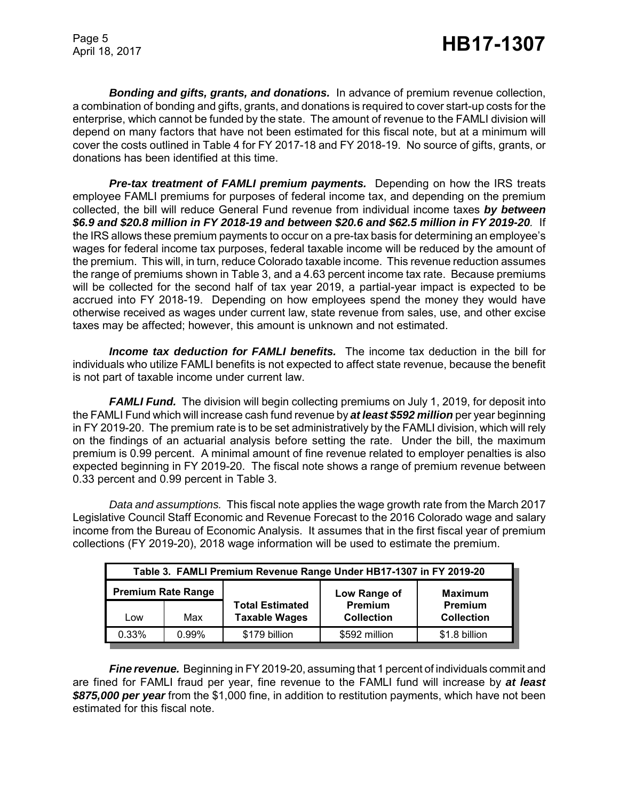*Bonding and gifts, grants, and donations.* In advance of premium revenue collection, a combination of bonding and gifts, grants, and donations is required to cover start-up costs for the enterprise, which cannot be funded by the state. The amount of revenue to the FAMLI division will depend on many factors that have not been estimated for this fiscal note, but at a minimum will cover the costs outlined in Table 4 for FY 2017-18 and FY 2018-19. No source of gifts, grants, or donations has been identified at this time.

*Pre-tax treatment of FAMLI premium payments.* Depending on how the IRS treats employee FAMLI premiums for purposes of federal income tax, and depending on the premium collected, the bill will reduce General Fund revenue from individual income taxes *by between \$6.9 and \$20.8 million in FY 2018-19 and between \$20.6 and \$62.5 million in FY 2019-20.* If the IRS allows these premium payments to occur on a pre-tax basis for determining an employee's wages for federal income tax purposes, federal taxable income will be reduced by the amount of the premium. This will, in turn, reduce Colorado taxable income. This revenue reduction assumes the range of premiums shown in Table 3, and a 4.63 percent income tax rate. Because premiums will be collected for the second half of tax year 2019, a partial-year impact is expected to be accrued into FY 2018-19. Depending on how employees spend the money they would have otherwise received as wages under current law, state revenue from sales, use, and other excise taxes may be affected; however, this amount is unknown and not estimated.

*Income tax deduction for FAMLI benefits.* The income tax deduction in the bill for individuals who utilize FAMLI benefits is not expected to affect state revenue, because the benefit is not part of taxable income under current law.

*FAMLI Fund.* The division will begin collecting premiums on July 1, 2019, for deposit into the FAMLI Fund which will increase cash fund revenue by *at least \$592 million* per year beginning in FY 2019-20. The premium rate is to be set administratively by the FAMLI division, which will rely on the findings of an actuarial analysis before setting the rate. Under the bill, the maximum premium is 0.99 percent. A minimal amount of fine revenue related to employer penalties is also expected beginning in FY 2019-20. The fiscal note shows a range of premium revenue between 0.33 percent and 0.99 percent in Table 3.

*Data and assumptions.* This fiscal note applies the wage growth rate from the March 2017 Legislative Council Staff Economic and Revenue Forecast to the 2016 Colorado wage and salary income from the Bureau of Economic Analysis. It assumes that in the first fiscal year of premium collections (FY 2019-20), 2018 wage information will be used to estimate the premium.

| Table 3. FAMLI Premium Revenue Range Under HB17-1307 in FY 2019-20 |       |                                                |                                     |                                     |  |  |
|--------------------------------------------------------------------|-------|------------------------------------------------|-------------------------------------|-------------------------------------|--|--|
| <b>Premium Rate Range</b>                                          |       |                                                | Low Range of                        | <b>Maximum</b>                      |  |  |
| Low                                                                | Max   | <b>Total Estimated</b><br><b>Taxable Wages</b> | <b>Premium</b><br><b>Collection</b> | <b>Premium</b><br><b>Collection</b> |  |  |
| 0.33%                                                              | 0.99% | \$179 billion                                  | \$592 million                       | \$1.8 billion                       |  |  |

**Fine revenue.** Beginning in FY 2019-20, assuming that 1 percent of individuals commit and are fined for FAMLI fraud per year, fine revenue to the FAMLI fund will increase by *at least \$875,000 per year* from the \$1,000 fine, in addition to restitution payments, which have not been estimated for this fiscal note.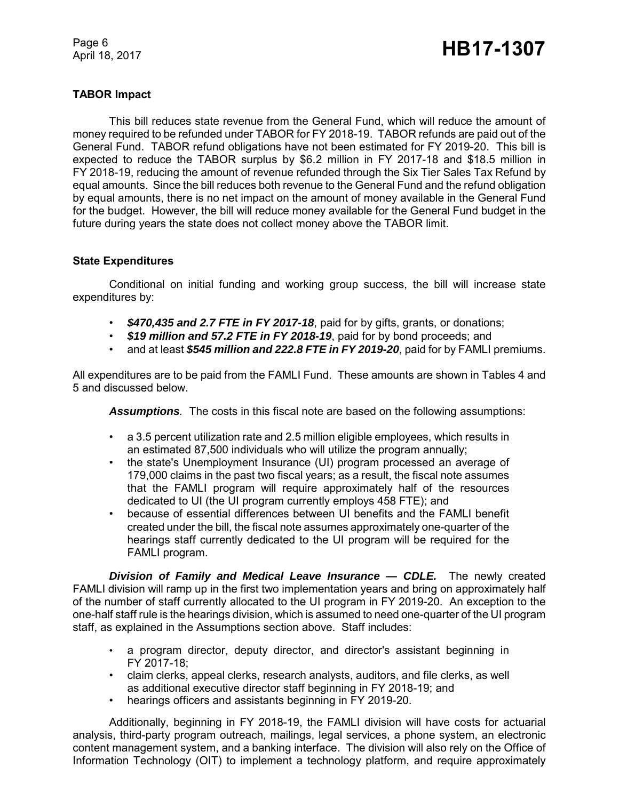# **TABOR Impact**

This bill reduces state revenue from the General Fund, which will reduce the amount of money required to be refunded under TABOR for FY 2018-19. TABOR refunds are paid out of the General Fund. TABOR refund obligations have not been estimated for FY 2019-20. This bill is expected to reduce the TABOR surplus by \$6.2 million in FY 2017-18 and \$18.5 million in FY 2018-19, reducing the amount of revenue refunded through the Six Tier Sales Tax Refund by equal amounts. Since the bill reduces both revenue to the General Fund and the refund obligation by equal amounts, there is no net impact on the amount of money available in the General Fund for the budget. However, the bill will reduce money available for the General Fund budget in the future during years the state does not collect money above the TABOR limit.

# **State Expenditures**

Conditional on initial funding and working group success, the bill will increase state expenditures by:

- *\$470,435 and 2.7 FTE in FY 2017-18*, paid for by gifts, grants, or donations;
- *\$19 million and 57.2 FTE in FY 2018-19*, paid for by bond proceeds; and
- and at least *\$545 million and 222.8 FTE in FY 2019-20*, paid for by FAMLI premiums.

All expenditures are to be paid from the FAMLI Fund. These amounts are shown in Tables 4 and 5 and discussed below.

*Assumptions.* The costs in this fiscal note are based on the following assumptions:

- a 3.5 percent utilization rate and 2.5 million eligible employees, which results in an estimated 87,500 individuals who will utilize the program annually;
- the state's Unemployment Insurance (UI) program processed an average of 179,000 claims in the past two fiscal years; as a result, the fiscal note assumes that the FAMLI program will require approximately half of the resources dedicated to UI (the UI program currently employs 458 FTE); and
- because of essential differences between UI benefits and the FAMLI benefit created under the bill, the fiscal note assumes approximately one-quarter of the hearings staff currently dedicated to the UI program will be required for the FAMLI program.

*Division of Family and Medical Leave Insurance — CDLE.* The newly created FAMLI division will ramp up in the first two implementation years and bring on approximately half of the number of staff currently allocated to the UI program in FY 2019-20. An exception to the one-half staff rule is the hearings division, which is assumed to need one-quarter of the UI program staff, as explained in the Assumptions section above. Staff includes:

- a program director, deputy director, and director's assistant beginning in FY 2017-18;
- claim clerks, appeal clerks, research analysts, auditors, and file clerks, as well as additional executive director staff beginning in FY 2018-19; and
- hearings officers and assistants beginning in FY 2019-20.

Additionally, beginning in FY 2018-19, the FAMLI division will have costs for actuarial analysis, third-party program outreach, mailings, legal services, a phone system, an electronic content management system, and a banking interface. The division will also rely on the Office of Information Technology (OIT) to implement a technology platform, and require approximately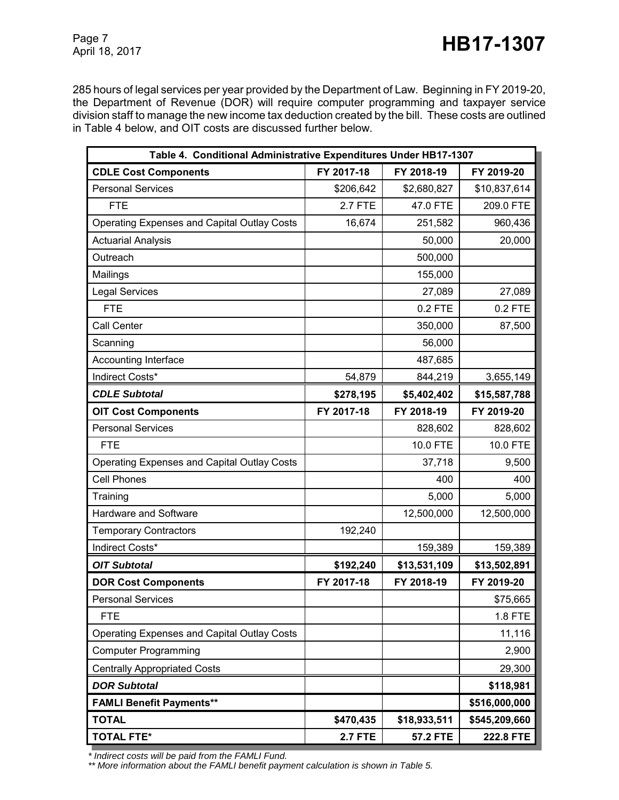285 hours of legal services per year provided by the Department of Law. Beginning in FY 2019-20, the Department of Revenue (DOR) will require computer programming and taxpayer service division staff to manage the new income tax deduction created by the bill. These costs are outlined in Table 4 below, and OIT costs are discussed further below.

| Table 4. Conditional Administrative Expenditures Under HB17-1307 |                |                 |               |  |  |
|------------------------------------------------------------------|----------------|-----------------|---------------|--|--|
| <b>CDLE Cost Components</b>                                      | FY 2017-18     | FY 2018-19      | FY 2019-20    |  |  |
| <b>Personal Services</b>                                         | \$206,642      | \$2,680,827     | \$10,837,614  |  |  |
| <b>FTE</b>                                                       | <b>2.7 FTE</b> | 47.0 FTE        | 209.0 FTE     |  |  |
| <b>Operating Expenses and Capital Outlay Costs</b>               | 16,674         | 251,582         | 960,436       |  |  |
| <b>Actuarial Analysis</b>                                        |                | 50,000          | 20,000        |  |  |
| Outreach                                                         |                | 500,000         |               |  |  |
| Mailings                                                         |                | 155,000         |               |  |  |
| <b>Legal Services</b>                                            |                | 27,089          | 27,089        |  |  |
| <b>FTE</b>                                                       |                | 0.2 FTE         | 0.2 FTE       |  |  |
| Call Center                                                      |                | 350,000         | 87,500        |  |  |
| Scanning                                                         |                | 56,000          |               |  |  |
| Accounting Interface                                             |                | 487,685         |               |  |  |
| Indirect Costs*                                                  | 54,879         | 844,219         | 3,655,149     |  |  |
| <b>CDLE Subtotal</b>                                             | \$278,195      | \$5,402,402     | \$15,587,788  |  |  |
| <b>OIT Cost Components</b>                                       | FY 2017-18     | FY 2018-19      | FY 2019-20    |  |  |
| <b>Personal Services</b>                                         |                | 828,602         | 828,602       |  |  |
| <b>FTE</b>                                                       |                | 10.0 FTE        | 10.0 FTE      |  |  |
| Operating Expenses and Capital Outlay Costs                      |                | 37,718          | 9,500         |  |  |
| <b>Cell Phones</b>                                               |                | 400             | 400           |  |  |
| Training                                                         |                | 5,000           | 5,000         |  |  |
| Hardware and Software                                            |                | 12,500,000      | 12,500,000    |  |  |
| <b>Temporary Contractors</b>                                     | 192,240        |                 |               |  |  |
| Indirect Costs*                                                  |                | 159,389         | 159,389       |  |  |
| <b>OIT Subtotal</b>                                              | \$192,240      | \$13,531,109    | \$13,502,891  |  |  |
| <b>DOR Cost Components</b>                                       | FY 2017-18     | FY 2018-19      | FY 2019-20    |  |  |
| <b>Personal Services</b>                                         |                |                 | \$75,665      |  |  |
| <b>FTE</b>                                                       |                |                 | 1.8 FTE       |  |  |
| Operating Expenses and Capital Outlay Costs                      |                |                 | 11,116        |  |  |
| <b>Computer Programming</b>                                      |                |                 | 2,900         |  |  |
| <b>Centrally Appropriated Costs</b>                              |                |                 | 29,300        |  |  |
| <b>DOR Subtotal</b>                                              |                |                 | \$118,981     |  |  |
| <b>FAMLI Benefit Payments**</b>                                  |                |                 | \$516,000,000 |  |  |
| <b>TOTAL</b>                                                     | \$470,435      | \$18,933,511    | \$545,209,660 |  |  |
| <b>TOTAL FTE*</b>                                                | <b>2.7 FTE</b> | <b>57.2 FTE</b> | 222.8 FTE     |  |  |

 *\* Indirect costs will be paid from the FAMLI Fund.*

 *\*\* More information about the FAMLI benefit payment calculation is shown in Table 5.*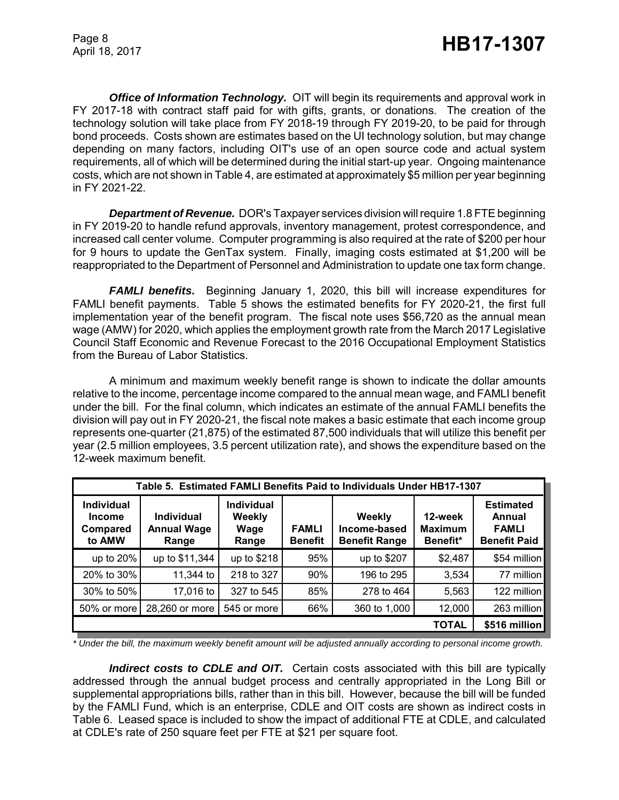*Office of Information Technology.* OIT will begin its requirements and approval work in FY 2017-18 with contract staff paid for with gifts, grants, or donations. The creation of the technology solution will take place from FY 2018-19 through FY 2019-20, to be paid for through bond proceeds. Costs shown are estimates based on the UI technology solution, but may change depending on many factors, including OIT's use of an open source code and actual system requirements, all of which will be determined during the initial start-up year. Ongoing maintenance costs, which are not shown in Table 4, are estimated at approximately \$5 million per year beginning in FY 2021-22.

*Department of Revenue.* DOR's Taxpayer services division will require 1.8 FTE beginning in FY 2019-20 to handle refund approvals, inventory management, protest correspondence, and increased call center volume. Computer programming is also required at the rate of \$200 per hour for 9 hours to update the GenTax system. Finally, imaging costs estimated at \$1,200 will be reappropriated to the Department of Personnel and Administration to update one tax form change.

**FAMLI benefits.** Beginning January 1, 2020, this bill will increase expenditures for FAMLI benefit payments. Table 5 shows the estimated benefits for FY 2020-21, the first full implementation year of the benefit program. The fiscal note uses \$56,720 as the annual mean wage (AMW) for 2020, which applies the employment growth rate from the March 2017 Legislative Council Staff Economic and Revenue Forecast to the 2016 Occupational Employment Statistics from the Bureau of Labor Statistics.

A minimum and maximum weekly benefit range is shown to indicate the dollar amounts relative to the income, percentage income compared to the annual mean wage, and FAMLI benefit under the bill. For the final column, which indicates an estimate of the annual FAMLI benefits the division will pay out in FY 2020-21, the fiscal note makes a basic estimate that each income group represents one-quarter (21,875) of the estimated 87,500 individuals that will utilize this benefit per year (2.5 million employees, 3.5 percent utilization rate), and shows the expenditure based on the 12-week maximum benefit.

| Table 5. Estimated FAMLI Benefits Paid to Individuals Under HB17-1307 |                                                  |                                              |                                |                                                |                                       |                                                                   |  |  |  |
|-----------------------------------------------------------------------|--------------------------------------------------|----------------------------------------------|--------------------------------|------------------------------------------------|---------------------------------------|-------------------------------------------------------------------|--|--|--|
| <b>Individual</b><br><b>Income</b><br>Compared<br>to AMW              | <b>Individual</b><br><b>Annual Wage</b><br>Range | <b>Individual</b><br>Weekly<br>Wage<br>Range | <b>FAMLI</b><br><b>Benefit</b> | Weekly<br>Income-based<br><b>Benefit Range</b> | 12-week<br><b>Maximum</b><br>Benefit* | <b>Estimated</b><br>Annual<br><b>FAMLI</b><br><b>Benefit Paid</b> |  |  |  |
| up to $20\%$                                                          | up to \$11,344                                   | up to \$218                                  | 95%                            | up to \$207                                    | \$2,487                               | \$54 million                                                      |  |  |  |
| 20% to 30%                                                            | 11,344 to                                        | 218 to 327                                   | 90%                            | 196 to 295                                     | 3,534                                 | 77 million                                                        |  |  |  |
| 30% to 50%                                                            | 17,016 to                                        | 327 to 545                                   | 85%                            | 278 to 464                                     | 5,563                                 | 122 million                                                       |  |  |  |
| 50% or more                                                           | 28,260 or more                                   | 545 or more                                  | 66%                            | 360 to 1,000                                   | 12,000                                | 263 million                                                       |  |  |  |
|                                                                       |                                                  |                                              |                                |                                                | \$516 million<br><b>TOTAL</b>         |                                                                   |  |  |  |

*\* Under the bill, the maximum weekly benefit amount will be adjusted annually according to personal income growth.*

**Indirect costs to CDLE and OIT.** Certain costs associated with this bill are typically addressed through the annual budget process and centrally appropriated in the Long Bill or supplemental appropriations bills, rather than in this bill. However, because the bill will be funded by the FAMLI Fund, which is an enterprise, CDLE and OIT costs are shown as indirect costs in Table 6. Leased space is included to show the impact of additional FTE at CDLE, and calculated at CDLE's rate of 250 square feet per FTE at \$21 per square foot.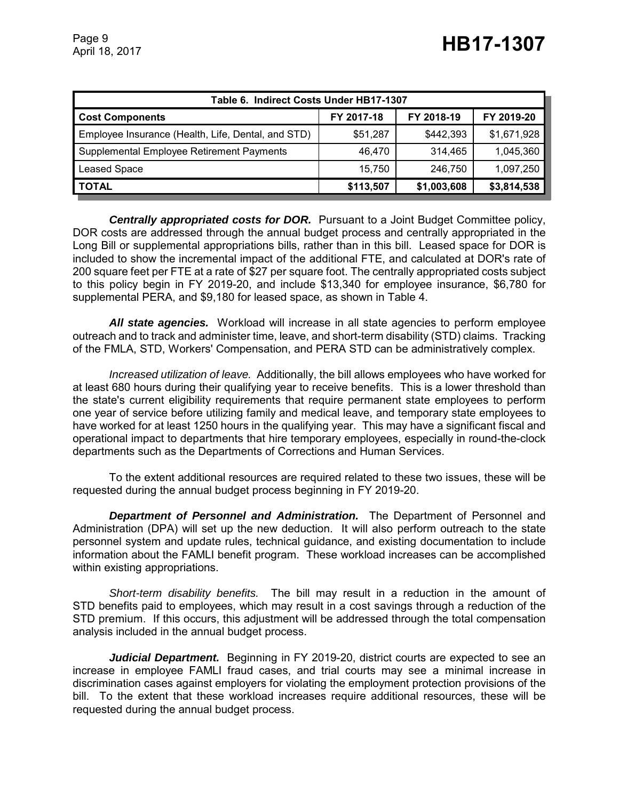| Table 6. Indirect Costs Under HB17-1307            |            |             |             |  |  |
|----------------------------------------------------|------------|-------------|-------------|--|--|
| <b>Cost Components</b>                             | FY 2017-18 | FY 2018-19  | FY 2019-20  |  |  |
| Employee Insurance (Health, Life, Dental, and STD) | \$51,287   | \$442,393   | \$1,671,928 |  |  |
| Supplemental Employee Retirement Payments          | 46.470     | 314.465     | 1,045,360   |  |  |
| Leased Space                                       | 15,750     | 246,750     | 1,097,250   |  |  |
| <b>TOTAL</b>                                       | \$113,507  | \$1,003,608 | \$3,814,538 |  |  |

*Centrally appropriated costs for DOR.* Pursuant to a Joint Budget Committee policy, DOR costs are addressed through the annual budget process and centrally appropriated in the Long Bill or supplemental appropriations bills, rather than in this bill. Leased space for DOR is included to show the incremental impact of the additional FTE, and calculated at DOR's rate of 200 square feet per FTE at a rate of \$27 per square foot. The centrally appropriated costs subject to this policy begin in FY 2019-20, and include \$13,340 for employee insurance, \$6,780 for supplemental PERA, and \$9,180 for leased space, as shown in Table 4.

*All state agencies.* Workload will increase in all state agencies to perform employee outreach and to track and administer time, leave, and short-term disability (STD) claims. Tracking of the FMLA, STD, Workers' Compensation, and PERA STD can be administratively complex.

*Increased utilization of leave.* Additionally, the bill allows employees who have worked for at least 680 hours during their qualifying year to receive benefits. This is a lower threshold than the state's current eligibility requirements that require permanent state employees to perform one year of service before utilizing family and medical leave, and temporary state employees to have worked for at least 1250 hours in the qualifying year. This may have a significant fiscal and operational impact to departments that hire temporary employees, especially in round-the-clock departments such as the Departments of Corrections and Human Services.

To the extent additional resources are required related to these two issues, these will be requested during the annual budget process beginning in FY 2019-20.

*Department of Personnel and Administration.* The Department of Personnel and Administration (DPA) will set up the new deduction. It will also perform outreach to the state personnel system and update rules, technical guidance, and existing documentation to include information about the FAMLI benefit program. These workload increases can be accomplished within existing appropriations.

*Short-term disability benefits.* The bill may result in a reduction in the amount of STD benefits paid to employees, which may result in a cost savings through a reduction of the STD premium. If this occurs, this adjustment will be addressed through the total compensation analysis included in the annual budget process.

*Judicial Department.* Beginning in FY 2019-20, district courts are expected to see an increase in employee FAMLI fraud cases, and trial courts may see a minimal increase in discrimination cases against employers for violating the employment protection provisions of the bill. To the extent that these workload increases require additional resources, these will be requested during the annual budget process.